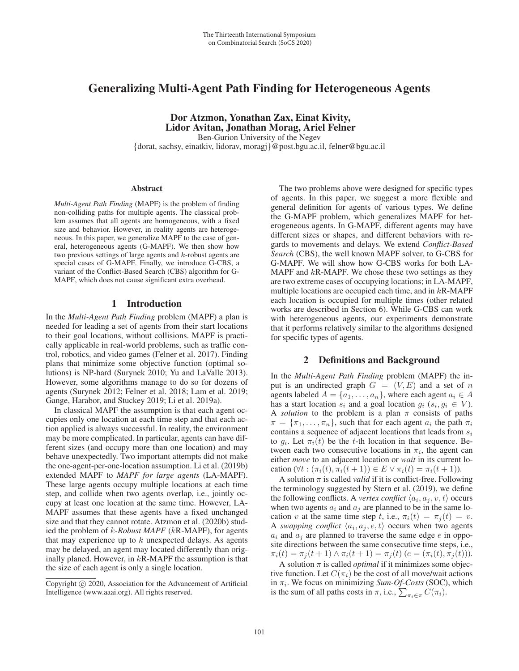# Generalizing Multi-Agent Path Finding for Heterogeneous Agents

Dor Atzmon, Yonathan Zax, Einat Kivity, Lidor Avitan, Jonathan Morag, Ariel Felner Ben-Gurion University of the Negev

{dorat, sachsy, einatkiv, lidorav, moragj}@post.bgu.ac.il, felner@bgu.ac.il

#### Abstract

*Multi-Agent Path Finding* (MAPF) is the problem of finding non-colliding paths for multiple agents. The classical problem assumes that all agents are homogeneous, with a fixed size and behavior. However, in reality agents are heterogeneous. In this paper, we generalize MAPF to the case of general, heterogeneous agents (G-MAPF). We then show how two previous settings of large agents and k-robust agents are special cases of G-MAPF. Finally, we introduce G-CBS, a variant of the Conflict-Based Search (CBS) algorithm for G-MAPF, which does not cause significant extra overhead.

### 1 Introduction

In the *Multi-Agent Path Finding* problem (MAPF) a plan is needed for leading a set of agents from their start locations to their goal locations, without collisions. MAPF is practically applicable in real-world problems, such as traffic control, robotics, and video games (Felner et al. 2017). Finding plans that minimize some objective function (optimal solutions) is NP-hard (Surynek 2010; Yu and LaValle 2013). However, some algorithms manage to do so for dozens of agents (Surynek 2012; Felner et al. 2018; Lam et al. 2019; Gange, Harabor, and Stuckey 2019; Li et al. 2019a).

In classical MAPF the assumption is that each agent occupies only one location at each time step and that each action applied is always successful. In reality, the environment may be more complicated. In particular, agents can have different sizes (and occupy more than one location) and may behave unexpectedly. Two important attempts did not make the one-agent-per-one-location assumption. Li et al. (2019b) extended MAPF to *MAPF for large agents* (LA-MAPF). These large agents occupy multiple locations at each time step, and collide when two agents overlap, i.e., jointly occupy at least one location at the same time. However, LA-MAPF assumes that these agents have a fixed unchanged size and that they cannot rotate. Atzmon et al. (2020b) studied the problem of k*-Robust MAPF* (kR-MAPF), for agents that may experience up to  $k$  unexpected delays. As agents may be delayed, an agent may located differently than originally planed. However, in  $kR$ -MAPF the assumption is that the size of each agent is only a single location.

The two problems above were designed for specific types of agents. In this paper, we suggest a more flexible and general definition for agents of various types. We define the G-MAPF problem, which generalizes MAPF for heterogeneous agents. In G-MAPF, different agents may have different sizes or shapes, and different behaviors with regards to movements and delays. We extend *Conflict-Based Search* (CBS), the well known MAPF solver, to G-CBS for G-MAPF. We will show how G-CBS works for both LA-MAPF and  $kR$ -MAPF. We chose these two settings as they are two extreme cases of occupying locations; in LA-MAPF, multiple locations are occupied each time, and in  $kR-MAPF$ each location is occupied for multiple times (other related works are described in Section 6). While G-CBS can work with heterogeneous agents, our experiments demonstrate that it performs relatively similar to the algorithms designed for specific types of agents.

## 2 Definitions and Background

In the *Multi-Agent Path Finding* problem (MAPF) the input is an undirected graph  $G = (V, E)$  and a set of n agents labeled  $A = \{a_1, \ldots, a_n\}$ , where each agent  $a_i \in A$ has a start location  $s_i$  and a goal location  $g_i$  ( $s_i, g_i \in V$ ). A *solution* to the problem is a plan  $\pi$  consists of paths  $\pi = {\pi_1, \ldots, \pi_n}$ , such that for each agent  $a_i$  the path  $\pi_i$ contains a sequence of adjacent locations that leads from  $s_i$ to  $g_i$ . Let  $\pi_i(t)$  be the t-th location in that sequence. Between each two consecutive locations in  $\pi_i$ , the agent can either *move* to an adjacent location or *wait* in its current location  $(\forall t : (\pi_i(t), \pi_i(t+1)) \in E \lor \pi_i(t) = \pi_i(t+1)).$ 

A solution  $\pi$  is called *valid* if it is conflict-free. Following the terminology suggested by Stern et al. (2019), we define the following conflicts. A *vertex conflict*  $\langle a_i, a_j, v, t \rangle$  occurs when two agents  $a_i$  and  $a_j$  are planned to be in the same location v at the same time step t, i.e.,  $\pi_i(t) = \pi_i(t) = v$ . A *swapping conflict*  $\langle a_i, a_j, e, t \rangle$  occurs when two agents  $a_i$  and  $a_j$  are planned to traverse the same edge e in opposite directions between the same consecutive time steps, i.e.,  $\pi_i(t) = \pi_j(t+1) \wedge \pi_i(t+1) = \pi_j(t)$  ( $e = (\pi_i(t), \pi_j(t))$ ).

A solution  $\pi$  is called *optimal* if it minimizes some objective function. Let  $C(\pi_i)$  be the cost of all move/wait actions in  $\pi_i$ . We focus on minimizing *Sum-Of-Costs* (SOC), which is the sum of all paths costs in  $\pi$ , i.e.,  $\sum_{\pi_i \in \pi} C(\pi_i)$ .

Copyright  $\odot$  2020, Association for the Advancement of Artificial Intelligence (www.aaai.org). All rights reserved.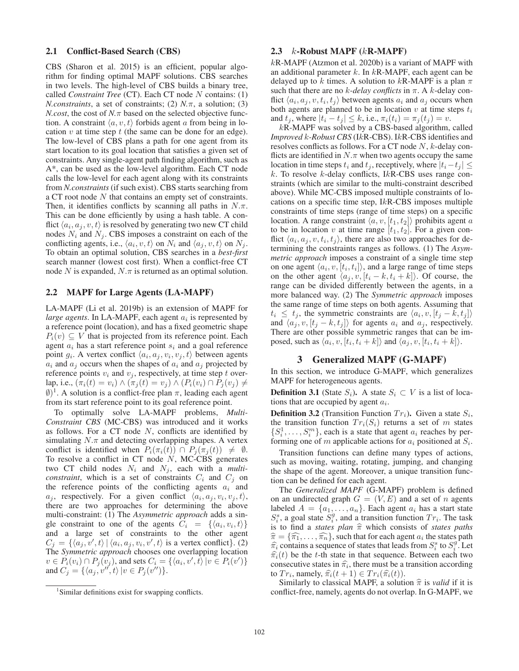## 2.1 Conflict-Based Search (CBS)

CBS (Sharon et al. 2015) is an efficient, popular algorithm for finding optimal MAPF solutions. CBS searches in two levels. The high-level of CBS builds a binary tree, called *Constraint Tree* (CT). Each CT node N contains: (1) *N.constraints*, a set of constraints; (2)  $N.\pi$ , a solution; (3) *N.cost*, the cost of  $N.\pi$  based on the selected objective function. A constraint  $\langle a, v, t \rangle$  forbids agent a from being in location  $v$  at time step  $t$  (the same can be done for an edge). The low-level of CBS plans a path for one agent from its start location to its goal location that satisfies a given set of constraints. Any single-agent path finding algorithm, such as A\*, can be used as the low-level algorithm. Each CT node calls the low-level for each agent along with its constraints from *N.constraints* (if such exist). CBS starts searching from a CT root node N that contains an empty set of constraints. Then, it identifies conflicts by scanning all paths in  $N.\pi$ . This can be done efficiently by using a hash table. A conflict  $\langle a_i, a_j, v, t \rangle$  is resolved by generating two new CT child nodes  $N_i$  and  $N_j$ . CBS imposes a constraint on each of the conflicting agents, i.e.,  $\langle a_i, v, t \rangle$  on  $N_i$  and  $\langle a_i, v, t \rangle$  on  $N_i$ . To obtain an optimal solution, CBS searches in a *best-first* search manner (lowest cost first). When a conflict-free CT node N is expanded,  $N.\pi$  is returned as an optimal solution.

## 2.2 MAPF for Large Agents (LA-MAPF)

LA-MAPF (Li et al. 2019b) is an extension of MAPF for *large agents*. In LA-MAPF, each agent  $a_i$  is represented by a reference point (location), and has a fixed geometric shape  $P_i(v) \subseteq V$  that is projected from its reference point. Each agent  $a_i$  has a start reference point  $s_i$  and a goal reference point  $g_i$ . A vertex conflict  $\langle a_i, a_j, v_i, v_j, t \rangle$  between agents  $a_i$  and  $a_j$  occurs when the shapes of  $a_i$  and  $a_j$  projected by reference points  $v_i$  and  $v_j$ , respectively, at time step t overlap, i.e.,  $(\pi_i(t) = v_i) \wedge (\pi_j(t) = v_j) \wedge (P_i(v_i) \cap P_j(v_j) \neq \emptyset)$ <br>  $\emptyset$ <sup>1</sup> A solution is a conflict-free plan  $\pi$ , leading each agent  $\emptyset$ <sup>1</sup>. A solution is a conflict-free plan  $\pi$ , leading each agent from its start reference point to its goal reference point.

To optimally solve LA-MAPF problems, *Multi-Constraint CBS* (MC-CBS) was introduced and it works as follows. For a  $CT$  node  $N$ , conflicts are identified by simulating  $N.\pi$  and detecting overlapping shapes. A vertex conflict is identified when  $P_i(\pi_i(t)) \cap P_j(\pi_j(t)) \neq \emptyset$ .<br>To resolve a conflict in CT node N MC-CBS generates To resolve a conflict in  $CT$  node  $N$ , MC-CBS generates two CT child nodes  $N_i$  and  $N_j$ , each with a *multiconstraint*, which is a set of constraints  $C_i$  and  $C_j$  on the reference points of the conflicting agents  $a_i$  and  $a_j$ , respectively. For a given conflict  $\langle a_i, a_j, v_i, v_j, t \rangle$ , there are two approaches for determining the above multi-constraint: (1) The *Asymmetric approach* adds a single constraint to one of the agents  $C_i = \{ \langle a_i, v_i, t \rangle \}$ and a large set of constraints to the other agent  $C_j = \{ \langle a_j, v', t \rangle | \langle a_i, a_j, v_i, v', t \rangle \text{ is a vertex conflict} \}.$ <br>The *Symmetric approach* chooses one overlapping location The *Symmetric approach* chooses one overlapping location  $v \in P_i(v_i) \cap P_j(v_j)$ , and sets  $C_i = \{ \langle a_i, v', t \rangle | v \in P_i(v') \}$ <br>and  $C_i = \{ \langle a_i, v'' | t \rangle | v \in P_i(v'') \}$ and  $C_j = {\langle a_j, v'', t \rangle | v \in P_j(v'')}.$ 

### 2.3  $k$ -Robust MAPF  $(kR\text{-}MAPF)$

kR-MAPF (Atzmon et al. 2020b) is a variant of MAPF with an additional parameter  $k$ . In  $k$ R-MAPF, each agent can be delayed up to k times. A solution to kR-MAPF is a plan  $\pi$ such that there are no  $k$ -delay conflicts in  $\pi$ . A k-delay conflict  $\langle a_i, a_j, v, t_i, t_j \rangle$  between agents  $a_i$  and  $a_j$  occurs when both agents are planned to be in location v at time steps  $t_i$ and  $t_j$ , where  $|t_i - t_j| \leq k$ , i.e.,  $\pi_i(t_i) = \pi_j(t_j) = v$ .

kR-MAPF was solved by a CBS-based algorithm, called *Improved* k*-Robust CBS* (IkR-CBS). IkR-CBS identifies and resolves conflicts as follows. For a CT node N, k-delay conflicts are identified in  $N.\pi$  when two agents occupy the same location in time steps  $t_i$  and  $t_j$ , receptively, where  $|t_i-t_j| \leq$ k. To resolve k-delay conflicts, IkR-CBS uses range constraints (which are similar to the multi-constraint described above). While MC-CBS imposed multiple constraints of locations on a specific time step, IkR-CBS imposes multiple constraints of time steps (range of time steps) on a specific location. A range constraint  $\langle a, v, [t_1, t_2] \rangle$  prohibits agent a to be in location v at time range  $[t_1, t_2]$ . For a given conflict  $\langle a_i, a_j, v, t_i, t_j \rangle$ , there are also two approaches for determining the constraints ranges as follows. (1) The *Asymmetric approach* imposes a constraint of a single time step on one agent  $\langle a_i, v, t_i, t_i \rangle$ , and a large range of time steps on the other agent  $\langle a_i, v, [t_i - k, t_i + k] \rangle$ . Of course, the range can be divided differently between the agents, in a more balanced way. (2) The *Symmetric approach* imposes the same range of time steps on both agents. Assuming that  $t_i \leq t_j$ , the symmetric constraints are  $\langle a_i, v, [t_j - k, t_j] \rangle$ and  $\langle a_i, v, [t_j - k, t_j] \rangle$  for agents  $a_i$  and  $a_j$ , respectively. There are other possible symmetric ranges that can be imposed, such as  $\langle a_i, v, [t_i, t_i + k] \rangle$  and  $\langle a_i, v, [t_i, t_i + k] \rangle$ .

### 3 Generalized MAPF (G-MAPF)

In this section, we introduce G-MAPF, which generalizes MAPF for heterogeneous agents.

**Definition 3.1** (State  $S_i$ ). A state  $S_i \subset V$  is a list of locations that are occupied by agent  $a_i$ .

**Definition 3.2** (Transition Function  $Tr_i$ ). Given a state  $S_i$ , the transition function  $Tr_i(S_i)$  returns a set of m states  $\{S_i^1, \ldots, S_i^m\}$ , each is a state that agent  $a_i$  reaches by per-<br>forming one of m applicable actions for  $a_i$  positioned at  $S_i$  $\{S_i, \ldots, S_i\}$ , each is a state that agent  $a_i$  reaches by performing one of m applicable actions for  $a_i$  positioned at  $S_i$ .

Transition functions can define many types of actions, such as moving, waiting, rotating, jumping, and changing the shape of the agent. Moreover, a unique transition function can be defined for each agent.

The *Generalized MAPF* (G-MAPF) problem is defined on an undirected graph  $G = (V, E)$  and a set of n agents labeled  $A = \{a_1, \ldots, a_n\}$ . Each agent  $a_i$  has a start state  $S_i$ , a goal state  $S_i$ , and a transition function  $Tr_i$ . The task<br>is to find a *states plan*  $\hat{\pi}$  which consists of *states paths*<br> $\hat{\pi} = \{\hat{\pi}_1, \hat{\pi}_2\}$  such that for each agent  $a_i$ ; the states path  $i_s^s$ , a goal state  $S_s^g$ , and a transition function  $Tr_i$ . The task<br>to find a *states plan*  $\hat{\pi}$  which consists of *states paths*  $\hat{\pi} = {\hat{\pi_1}, \dots, \hat{\pi_n}}$ , such that for each agent  $a_i$  the states path  $\hat{\pi}_i$  contains a sequence of states that leads from  $S_i^s$  to  $S_i^g$ . Let  $\hat{\pi}_i(t)$  be the *t*-th state in that sequence. Between each two  $\hat{\pi}_i(t)$  be the t-th state in that sequence. Between each two consecutive states in  $\hat{\pi}_i$ , there must be a transition according to  $Tr_i$ , namely,  $\widehat{\pi}_i(t+1) \in Tr_i(\widehat{\pi}_i(t)).$ 

Similarly to classical MAPF, a solution  $\hat{\pi}$  is *valid* if it is conflict-free, namely, agents do not overlap. In G-MAPF, we

<sup>&</sup>lt;sup>1</sup>Similar definitions exist for swapping conflicts.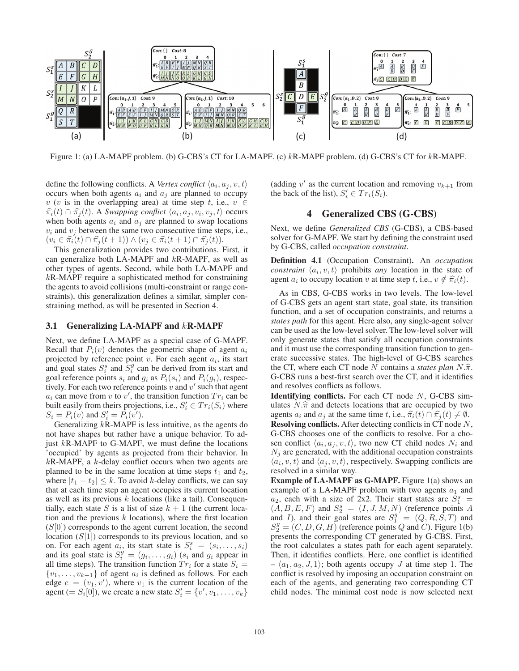

Figure 1: (a) LA-MAPF problem. (b) G-CBS's CT for LA-MAPF. (c) kR-MAPF problem. (d) G-CBS's CT for kR-MAPF.

define the following conflicts. A *Vertex conflict*  $\langle a_i, a_j, v, t \rangle$ occurs when both agents  $a_i$  and  $a_j$  are planned to occupy v (v is in the overlapping area) at time step t, i.e.,  $v \in$  $\widehat{\pi_i}(t) \cap \widehat{\pi_j}(t)$ . A *Swapping conflict*  $\langle a_i, a_j, v_i, v_j, t \rangle$  occurs when both agents  $a_i$  and  $a_j$  are planned to swap locations  $v_i$  and  $v_j$  between the same two consecutive time steps, i.e.,  $(v_i \in \hat{\pi}_i(t) \cap \hat{\pi}_j(t+1)) \wedge (v_j \in \hat{\pi}_i(t+1) \cap \hat{\pi}_j(t)).$ 

This generalization provides two contributions. First, it can generalize both LA-MAPF and kR-MAPF, as well as other types of agents. Second, while both LA-MAPF and kR-MAPF require a sophisticated method for constraining the agents to avoid collisions (multi-constraint or range constraints), this generalization defines a similar, simpler constraining method, as will be presented in Section 4.

#### 3.1 Generalizing  $LA-MAPF$  and  $kR-MAPF$

Next, we define LA-MAPF as a special case of G-MAPF. Recall that  $P_i(v)$  denotes the geometric shape of agent  $a_i$ projected by reference point  $v$ . For each agent  $a_i$ , its start and goal states  $S_i^s$  and  $S_i^g$  can be derived from its start and goal reference points stand  $a_i$  as  $P_i(s_i)$  and  $P_i(a_i)$  respecgoal reference points  $s_i$  and  $g_i$  as  $P_i(s_i)$  and  $P_i(g_i)$ , respectively. For each two reference points  $v$  and  $v'$  such that agent  $a_i$  can move from v to v', the transition function  $Tr_i$  can be built easily from theirs projections i.e.  $S' \in Tr_i(S_i)$  where built easily from theirs projections, i.e.,  $S'_i \in Tr_i(S_i)$  where  $S_i = P_i(v)$  and  $S'_i = P_i(v')$  $S_i = P_i(v)$  and  $S'_i = P_i(v')$ .<br>Generalizing *k*R-MAPE is

Generalizing kR-MAPF is less intuitive, as the agents do not have shapes but rather have a unique behavior. To adjust  $kR$ -MAPF to G-MAPF, we must define the locations 'occupied' by agents as projected from their behavior. In  $kR$ -MAPF, a  $k$ -delay conflict occurs when two agents are planned to be in the same location at time steps  $t_1$  and  $t_2$ , where  $|t_1 - t_2| \leq k$ . To avoid k-delay conflicts, we can say that at each time step an agent occupies its current location as well as its previous  $k$  locations (like a tail). Consequentially, each state S is a list of size  $k + 1$  (the current location and the previous  $k$  locations), where the first location  $(S[0])$  corresponds to the agent current location, the second location  $(S[1])$  corresponds to its previous location, and so on. For each agent  $a_i$ , its start state is  $S_i^s = (s_i, \ldots, s_i)$ <br>and its goal state is  $S_j^g = (a_i, a_i)$  (si and gi appear in and its goal state is  $S_i^g = (g_i, \ldots, g_i)$   $(s_i$  and  $g_i$  appear in all time steps). The transition function  $Tr_i$  for a state  $S_i$ all time steps). The transition function  $Tr_i$  for a state  $S_i$  =  $\{v_1,\ldots,v_{k+1}\}\$  of agent  $a_i$  is defined as follows. For each edge  $e = (v_1, v')$ , where  $v_1$  is the current location of the agent  $(= S_i[0])$  we create a new state  $S' = \{v' | v_1, \ldots, v_k\}$ agent (=  $S_i[0]$ ), we create a new state  $S'_i = \{v', v_1, \ldots, v_k\}$ 

(adding v' as the current location and removing  $v_{k+1}$  from the back of the list),  $S_i' \in Tr_i(S_i)$ .

## 4 Generalized CBS (G-CBS)

Next, we define *Generalized CBS* (G-CBS), a CBS-based solver for G-MAPF. We start by defining the constraint used by G-CBS, called *occupation constraint*.

Definition 4.1 (Occupation Constraint). An *occupation constraint*  $\langle a_i, v, t \rangle$  prohibits *any* location in the state of agent  $a_i$  to occupy location v at time step t, i.e.,  $v \notin \hat{\pi}_i(t)$ .

As in CBS, G-CBS works in two levels. The low-level of G-CBS gets an agent start state, goal state, its transition function, and a set of occupation constraints, and returns a *states path* for this agent. Here also, any single-agent solver can be used as the low-level solver. The low-level solver will only generate states that satisfy all occupation constraints and it must use the corresponding transition function to generate successive states. The high-level of G-CBS searches the CT, where each CT node N contains a *states plan* N. $\hat{\pi}$ . G-CBS runs a best-first search over the CT, and it identifies and resolves conflicts as follows.

**Identifying conflicts.** For each CT node  $N$ , G-CBS simulates  $N.\hat{\pi}$  and detects locations that are occupied by two agents  $a_i$  and  $a_j$  at the same time t, i.e.,  $\hat{\pi}_i(t) \cap \hat{\pi}_j(t) \neq \emptyset$ .<br>**Resolving conflicts** After detecting conflicts in CT node N

Resolving conflicts. After detecting conflicts in CT node N, G-CBS chooses one of the conflicts to resolve. For a chosen conflict  $\langle a_i, a_j, v, t \rangle$ , two new CT child nodes  $N_i$  and  $N_i$  are generated, with the additional occupation constraints  $\langle a_i, v, t \rangle$  and  $\langle a_i, v, t \rangle$ , respectively. Swapping conflicts are resolved in a similar way.

Example of LA-MAPF as G-MAPF. Figure 1(a) shows an example of a LA-MAPF problem with two agents  $a_1$  and  $a_2$ , each with a size of 2x2. Their start states are  $S_1^s = (A \ B \ E \ F)$  and  $S_2^s = (I \ J \ M \ N)$  (reference points A  $(A, B, E, F)$  and  $S_2^s = (I, J, M, N)$  (reference points A and I) and their goal states are  $S_3^g = (O, B, S, T)$  and and *I*), and their goal states are  $S_1^g = (Q, R, S, T)$  and  $S_2^g = (C, D, G, H)$  (reference points *Q* and *C*). Figure 1(b)  $S_2^2 = (C, D, G, H)$  (reference points Q and C). Figure 1(b) presents the corresponding CT generated by G-CBS. First,  $S_2^g = (C, D, G, H)$  (reference points Q and C). Figure 1(b) the root calculates a states path for each agent separately. Then, it identifies conflicts. Here, one conflict is identified  $- \langle a_1, a_2, J, 1 \rangle$ ; both agents occupy J at time step 1. The conflict is resolved by imposing an occupation constraint on each of the agents, and generating two corresponding CT child nodes. The minimal cost node is now selected next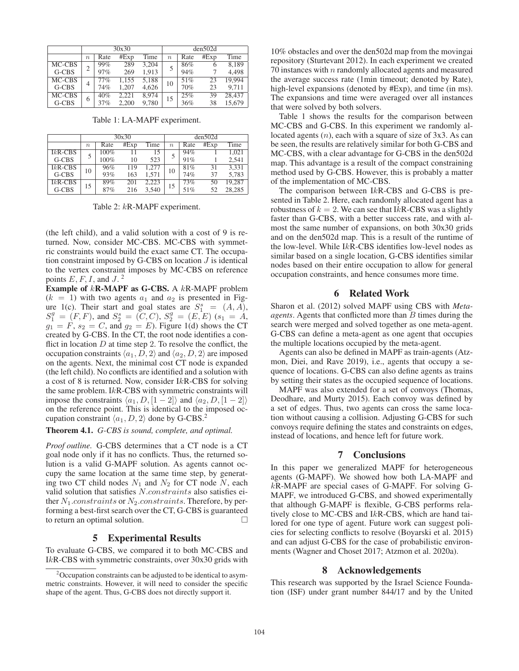|         | 30x30            |      |       |       | den502d          |      |      |        |
|---------|------------------|------|-------|-------|------------------|------|------|--------|
|         | $\boldsymbol{n}$ | Rate | #Exp  | Time  | $\boldsymbol{n}$ | Rate | #Exp | Time   |
| MC-CBS  | 2                | 99%  | 289   | 3.204 | 5                | 86%  | 6    | 8,189  |
| $G-CBS$ |                  | 97%  | 269   | 1.913 |                  | 94%  |      | 4.498  |
| MC-CBS  | 4                | 77%  | 1,155 | 5,188 | 10               | 51%  | 23   | 19.994 |
| $G-CBS$ |                  | 74%  | 1.207 | 4,626 |                  | 70%  | 23   | 9.711  |
| MC-CBS  | 6                | 40%  | 2,221 | 8,974 | 15               | 25%  | 39   | 28,437 |
| G-CBS   |                  | 37%  | 2,200 | 9,780 |                  | 36%  | 38   | 15,679 |

|           | 30x30  |      |      |       | den502d |      |      |        |
|-----------|--------|------|------|-------|---------|------|------|--------|
|           | $\eta$ | Rate | #Exp | Time  | $\eta$  | Rate | #Exp | Time   |
| $IkR-CBS$ |        | 100% |      |       |         | 94%  |      | 1.021  |
| G-CBS     |        | 100% | 10   | 523   |         | 91%  |      | 2.541  |
| $IkR-CBS$ | 10     | 96%  | 119  | 1.277 | 10      | 81%  | 31   | 3,331  |
| G-CBS     |        | 93%  | 163  | 1.571 |         | 74%  | 37   | 5.783  |
| $IkR-CBS$ | 15     | 89%  | 201  | 2.223 | 15      | 73%  | 50   | 19.287 |
| G-CBS     |        | 87%  | 216  | 3.540 |         | 51%  | 52   | 28,285 |

Table 1: LA-MAPF experiment.

Table 2: kR-MAPF experiment.

(the left child), and a valid solution with a cost of 9 is returned. Now, consider MC-CBS. MC-CBS with symmetric constraints would build the exact same CT. The occupation constraint imposed by G-CBS on location  $J$  is identical to the vertex constraint imposes by MC-CBS on reference points  $E, F, I$ , and  $J^2$ .

Example of kR-MAPF as G-CBS. <sup>A</sup> kR-MAPF problem  $(k = 1)$  with two agents  $a_1$  and  $a_2$  is presented in Figure 1(c). Their start and goal states are  $S_1^s = (A, A)$ ,<br>  $S_2^g = (F \ F)$  and  $S_2^s = (C \ C)$ ,  $S_2^g = (F \ F)$   $(s_1 = A)$  $\frac{S_1^3}{a_1}$  $\begin{array}{l} \mathcal{L}^g = (F, F), \text{ and } S^s_2 = (C, C), S^g_2 = (E, E) \ (s_1 = A,$ <br> $\mathcal{L} = F$ , so  $\equiv C$ , and  $g_2 = E$ ). Figure 1(d) shows the CT  $g_1 = F$ ,  $s_2 = C$ , and  $g_2 = E$ ). Figure 1(d) shows the CT created by G-CBS. In the CT the root node identifies a concreated by G-CBS. In the CT, the root node identifies a conflict in location  $D$  at time step 2. To resolve the conflict, the occupation constraints  $\langle a_1, D, 2 \rangle$  and  $\langle a_2, D, 2 \rangle$  are imposed on the agents. Next, the minimal cost CT node is expanded (the left child). No conflicts are identified and a solution with a cost of 8 is returned. Now, consider IkR-CBS for solving the same problem. IkR-CBS with symmetric constraints will impose the constraints  $\langle a_1, D, [1 - 2] \rangle$  and  $\langle a_2, D, [1 - 2] \rangle$ on the reference point. This is identical to the imposed occupation constraint  $\langle a_1, D, 2 \rangle$  done by G-CBS.<sup>2</sup>

#### Theorem 4.1. *G-CBS is sound, complete, and optimal.*

*Proof outline.* G-CBS determines that a CT node is a CT goal node only if it has no conflicts. Thus, the returned solution is a valid G-MAPF solution. As agents cannot occupy the same location at the same time step, by generating two CT child nodes  $N_1$  and  $N_2$  for CT node N, each valid solution that satisfies N.constraints also satisfies either  $N_1$ .constraints or  $N_2$ .constraints. Therefore, by performing a best-first search over the CT, G-CBS is guaranteed to return an optimal solution.  $\Box$ 

#### 5 Experimental Results

To evaluate G-CBS, we compared it to both MC-CBS and <sup>I</sup>kR-CBS with symmetric constraints, over 30x30 grids with

10% obstacles and over the den502d map from the movingai repository (Sturtevant 2012). In each experiment we created 70 instances with  $n$  randomly allocated agents and measured the average success rate (1min timeout; denoted by Rate), high-level expansions (denoted by #Exp), and time (in ms). The expansions and time were averaged over all instances that were solved by both solvers.

Table 1 shows the results for the comparison between MC-CBS and G-CBS. In this experiment we randomly allocated agents  $(n)$ , each with a square of size of 3x3. As can be seen, the results are relatively similar for both G-CBS and MC-CBS, with a clear advantage for G-CBS in the den502d map. This advantage is a result of the compact constraining method used by G-CBS. However, this is probably a matter of the implementation of MC-CBS.

The comparison between IkR-CBS and G-CBS is presented in Table 2. Here, each randomly allocated agent has a robustness of  $k = 2$ . We can see that IkR-CBS was a slightly faster than G-CBS, with a better success rate, and with almost the same number of expansions, on both 30x30 grids and on the den502d map. This is a result of the runtime of the low-level. While IkR-CBS identifies low-level nodes as similar based on a single location, G-CBS identifies similar nodes based on their entire occupation to allow for general occupation constraints, and hence consumes more time.

## 6 Related Work

Sharon et al. (2012) solved MAPF using CBS with *Metaagents*. Agents that conflicted more than B times during the search were merged and solved together as one meta-agent. G-CBS can define a meta-agent as one agent that occupies the multiple locations occupied by the meta-agent.

Agents can also be defined in MAPF as train-agents (Atzmon, Diei, and Rave 2019), i.e., agents that occupy a sequence of locations. G-CBS can also define agents as trains by setting their states as the occupied sequence of locations.

MAPF was also extended for a set of convoys (Thomas, Deodhare, and Murty 2015). Each convoy was defined by a set of edges. Thus, two agents can cross the same location without causing a collision. Adjusting G-CBS for such convoys require defining the states and constraints on edges, instead of locations, and hence left for future work.

## 7 Conclusions

In this paper we generalized MAPF for heterogeneous agents (G-MAPF). We showed how both LA-MAPF and kR-MAPF are special cases of G-MAPF. For solving G-MAPF, we introduced G-CBS, and showed experimentally that although G-MAPF is flexible, G-CBS performs relatively close to MC-CBS and IkR-CBS, which are hand tailored for one type of agent. Future work can suggest policies for selecting conflicts to resolve (Boyarski et al. 2015) and can adjust G-CBS for the case of probabilistic environments (Wagner and Choset 2017; Atzmon et al. 2020a).

#### 8 Acknowledgements

This research was supported by the Israel Science Foundation (ISF) under grant number 844/17 and by the United

<sup>&</sup>lt;sup>2</sup>Occupation constraints can be adjusted to be identical to asymmetric constraints. However, it will need to consider the specific shape of the agent. Thus, G-CBS does not directly support it.